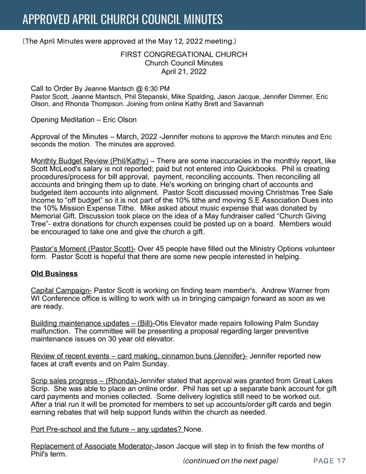# APPROVED APRIL CHURCH COUNCIL MINUTES

(The April Minutes were approved at the May 12, 2022 meeting.)

#### FIRST CONGREGATIONAL CHURCH **Church Council Minutes** April 21, 2022

Call to Order By Jeanne Mantsch @ 6:30 PM

Pastor Scott, Jeanne Mantsch, Phil Stepanski, Mike Spalding, Jason Jacque, Jennifer Dimmer, Eric Olson, and Rhonda Thompson, Joining from online Kathy Bretl and Savannah

Opening Meditation - Eric Olson

Approval of the Minutes – March, 2022 - Jennifer motions to approve the March minutes and Eric seconds the motion. The minutes are approved.

Monthly Budget Review (Phil/Kathy) - There are some inaccuracies in the monthly report, like Scott McLeod's salary is not reported; paid but not entered into Quickbooks. Phil is creating procedures/process for bill approval, payment, reconciling accounts. Then reconciling all accounts and bringing them up to date. He's working on bringing chart of accounts and budgeted item accounts into alignment. Pastor Scott discussed moving Christmas Tree Sale Income to "off budget" so it is not part of the 10% tithe and moving S.E Association Dues into the 10% Mission Expense Tithe. Mike asked about music expense that was donated by Memorial Gift. Discussion took place on the idea of a May fundraiser called "Church Giving Tree"- extra donations for church expenses could be posted up on a board. Members would be encouraged to take one and give the church a gift.

Pastor's Moment (Pastor Scott)- Over 45 people have filled out the Ministry Options volunteer form. Pastor Scott is hopeful that there are some new people interested in helping.

#### **Old Business**

Capital Campaign- Pastor Scott is working on finding team member's. Andrew Warner from WI Conference office is willing to work with us in bringing campaign forward as soon as we are ready.

Building maintenance updates - (Bill)-Otis Elevator made repairs following Palm Sunday malfunction. The committee will be presenting a proposal regarding larger preventive maintenance issues on 30 year old elevator.

Review of recent events - card making, cinnamon buns (Jennifer)- Jennifer reported new faces at craft events and on Palm Sunday.

Scrip sales progress – (Rhonda)-Jennifer stated that approval was granted from Great Lakes Scrip. She was able to place an online order. Phil has set up a separate bank account for gift card payments and monies collected. Some delivery logistics still need to be worked out. After a trial run it will be promoted for members to set up accounts/order gift cards and begin earning rebates that will help support funds within the church as needed.

Port Pre-school and the future – any updates? None.

Replacement of Associate Moderator-Jason Jacque will step in to finish the few months of Phil's term.

*(continued on the next page)*